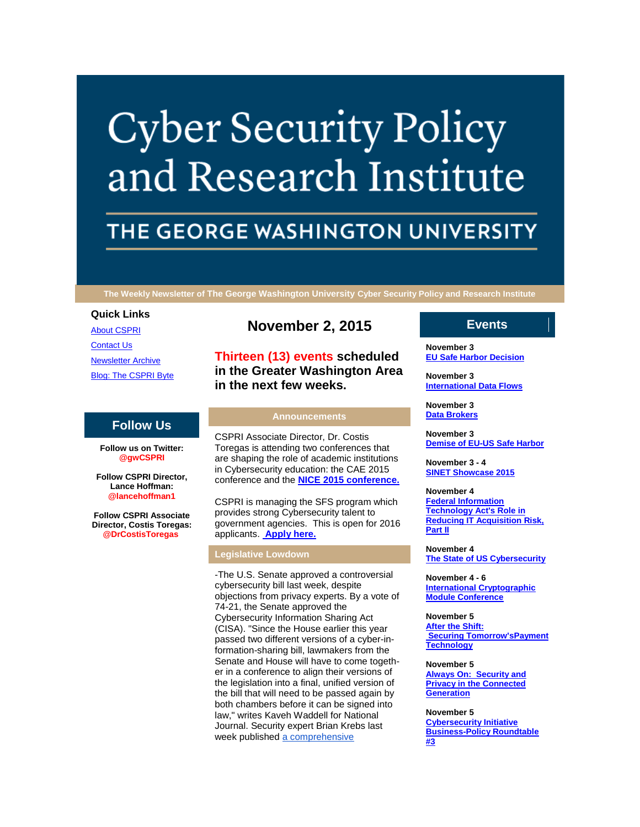# **Cyber Security Policy** and Research Institute

## THE GEORGE WASHINGTON UNIVERSITY

**The Weekly Newsletter of The George Washington University Cyber Security Policy and Research Institute**

#### **Quick Links**

[About CSPRI](http://r20.rs6.net/tn.jsp?f=001o0o9Bzw0LvQQ1hOh1mfmXBZmW0V8vCcO8xLZoOnaGkaoceXNvB0bj0EstbrMpIKM725nOfnaj_RAVNSK2Jp1p0cShEqjTRIRHVSyj-Wej-Q0imSO5Afy6-lGXCjdgzAFlDF9utCxzUCR7xlClD-zylX4FntJFCPPN6nLJ3j4LfKHkOMNmZVqj0spTv-iHldf&c=pmMSPoatyUlavaKKj66sglKi5OTP1S6DQQxZ9XfgNiInIDFMbnV0Kw==&ch=JOQ8x2IemeotyCUnpkdJTrkSwU5pv7BLfkS4N-a0VT-d3AF-fn_oQg==) [Contact Us](http://r20.rs6.net/tn.jsp?f=001o0o9Bzw0LvQQ1hOh1mfmXBZmW0V8vCcO8xLZoOnaGkaoceXNvB0bj0EstbrMpIKMSufiPzDk7mpJ5FNd4d89mdbpeqZFQP-TfqITFzimfryWkUJBvxQ2KRoXPStEd3eAu_22A-Dbb2lKxe3vKn7Q7jf7fL-3dhiH7QHC0LCLSRUR6MTYM6233xUgxhqWfxcscZgK81DDNOU=&c=pmMSPoatyUlavaKKj66sglKi5OTP1S6DQQxZ9XfgNiInIDFMbnV0Kw==&ch=JOQ8x2IemeotyCUnpkdJTrkSwU5pv7BLfkS4N-a0VT-d3AF-fn_oQg==) [Newsletter Archive](http://r20.rs6.net/tn.jsp?f=001o0o9Bzw0LvQQ1hOh1mfmXBZmW0V8vCcO8xLZoOnaGkaoceXNvB0bj0EstbrMpIKMV0qgtBd61shdGvp19DqmtOHcP_9EKPA7z6ZDGymLnSiA96gTR_vCYDHDg89i6EQHyKPtrmLgCmZtUsIOdLio9IsjjS9_14cIeeRk9xDkR3QA3ahs8xGeE8BNLl9yPShQls3kFxVa4bQ=&c=pmMSPoatyUlavaKKj66sglKi5OTP1S6DQQxZ9XfgNiInIDFMbnV0Kw==&ch=JOQ8x2IemeotyCUnpkdJTrkSwU5pv7BLfkS4N-a0VT-d3AF-fn_oQg==) [Blog: The CSPRI Byte](http://r20.rs6.net/tn.jsp?f=001o0o9Bzw0LvQQ1hOh1mfmXBZmW0V8vCcO8xLZoOnaGkaoceXNvB0bj0EstbrMpIKMOobYPkW-iA27QiwoBn_Nc2s5-68T1ul5wFqrKImQ6eCreQ6Vblxv2fEXnfDCwbEN31REsx65qZ1x2fWVI11Vff3c3Be-FrN0jpNxSRLYmgZxw_c_-SOBGUPNB7c9RJWo&c=pmMSPoatyUlavaKKj66sglKi5OTP1S6DQQxZ9XfgNiInIDFMbnV0Kw==&ch=JOQ8x2IemeotyCUnpkdJTrkSwU5pv7BLfkS4N-a0VT-d3AF-fn_oQg==)

#### **Follow Us**

**Follow us on Twitter: @gwCSPRI**

**Follow CSPRI Director, Lance Hoffman: @lancehoffman1**

**Follow CSPRI Associate Director, Costis Toregas: @DrCostisToregas**

### **November 2, 2015**

**Thirteen (13) events scheduled in the Greater Washington Area in the next few weeks.**

#### **Announcements**

CSPRI Associate Director, Dr. Costis Toregas is attending two conferences that are shaping the role of academic institutions in Cybersecurity education: the CAE 2015 conference and the **[NICE 2015 conference.](http://r20.rs6.net/tn.jsp?f=001o0o9Bzw0LvQQ1hOh1mfmXBZmW0V8vCcO8xLZoOnaGkaoceXNvB0bj3COp8fErbPde6Nb3psBcNVuR2mn6yoo4DMdeRU2LXgVvlTMROLrci3wrHZ7Twa-TYgduLOicpKnafdsqu4_y1ihZb5IcGGYR4aGEw5r-R5T940KdgYpIhgKOAqcmMfViT_dFqDD0Nf3&c=pmMSPoatyUlavaKKj66sglKi5OTP1S6DQQxZ9XfgNiInIDFMbnV0Kw==&ch=JOQ8x2IemeotyCUnpkdJTrkSwU5pv7BLfkS4N-a0VT-d3AF-fn_oQg==)**

CSPRI is managing the SFS program which provides strong Cybersecurity talent to government agencies. This is open for 2016 applicants. **[Apply here.](http://r20.rs6.net/tn.jsp?f=001o0o9Bzw0LvQQ1hOh1mfmXBZmW0V8vCcO8xLZoOnaGkaoceXNvB0bj08bJCjUDsM5_BdNA78GHwjbB67jb1Z_dRaYm5RvMOKfXjA4k-j94bFq1QZmOjyFYhgEVV4OSdXwvo_bhiaYmRxdRTg76_HVlQAqqDjtGZwGejOCHouAqeduSSxECxYwwZKJkjRj32s5&c=pmMSPoatyUlavaKKj66sglKi5OTP1S6DQQxZ9XfgNiInIDFMbnV0Kw==&ch=JOQ8x2IemeotyCUnpkdJTrkSwU5pv7BLfkS4N-a0VT-d3AF-fn_oQg==)**

#### **Legislative Lowdown**

-The U.S. Senate approved a controversial cybersecurity bill last week, despite objections from privacy experts. By a vote of 74-21, the Senate approved the Cybersecurity Information Sharing Act (CISA). "Since the House earlier this year passed two different versions of a cyber-information-sharing bill, lawmakers from the Senate and House will have to come together in a conference to align their versions of the legislation into a final, unified version of the bill that will need to be passed again by both chambers before it can be signed into law," writes Kaveh Waddell for National Journal. Security expert Brian Krebs last week published [a comprehensive](http://r20.rs6.net/tn.jsp?f=001o0o9Bzw0LvQQ1hOh1mfmXBZmW0V8vCcO8xLZoOnaGkaoceXNvB0bj3COp8fErbPdHBgw7QMwM42mxxmYftFHVSjnKt2Ok9qoPj2FJmQrvY52sfNZntfVHYidqD_CJAI6RH2K_nt6XWw7Mo-jHVb4JdZi7zyfw4G7yuli31ePPo6nkzVv75OS527tKAOayaQbij32UZkCxp_M8BwkDz7jtElfYkZZS-UkPtz6YXNSWvkd-8FQFcttPXyAQWifiCYK&c=pmMSPoatyUlavaKKj66sglKi5OTP1S6DQQxZ9XfgNiInIDFMbnV0Kw==&ch=JOQ8x2IemeotyCUnpkdJTrkSwU5pv7BLfkS4N-a0VT-d3AF-fn_oQg==) 

#### **Events**

**November 3 [EU Safe Harbor Decision](http://r20.rs6.net/tn.jsp?f=001o0o9Bzw0LvQQ1hOh1mfmXBZmW0V8vCcO8xLZoOnaGkaoceXNvB0bj1BixnuIBC93DlXyy9AHTMpoWdJm7Cu0-fSUUrrXsJqdmhVFjYWVjaUCYxmT57-K_WlYzBdeaCqFZFHHbP8JNko8Oz_2HR57OnUScVUDpdBt9bLWef_T5bRh3GKJd6UWhM2jC_JspCfbKVETDWVS5vo=&c=pmMSPoatyUlavaKKj66sglKi5OTP1S6DQQxZ9XfgNiInIDFMbnV0Kw==&ch=JOQ8x2IemeotyCUnpkdJTrkSwU5pv7BLfkS4N-a0VT-d3AF-fn_oQg==)**

**November 3 [International Data Flows](http://r20.rs6.net/tn.jsp?f=001o0o9Bzw0LvQQ1hOh1mfmXBZmW0V8vCcO8xLZoOnaGkaoceXNvB0bj1BixnuIBC93DlXyy9AHTMpoWdJm7Cu0-fSUUrrXsJqdmhVFjYWVjaUCYxmT57-K_WlYzBdeaCqFZFHHbP8JNko8Oz_2HR57OnUScVUDpdBt9bLWef_T5bRh3GKJd6UWhM2jC_JspCfbKVETDWVS5vo=&c=pmMSPoatyUlavaKKj66sglKi5OTP1S6DQQxZ9XfgNiInIDFMbnV0Kw==&ch=JOQ8x2IemeotyCUnpkdJTrkSwU5pv7BLfkS4N-a0VT-d3AF-fn_oQg==)**

**November 3 [Data Brokers](http://r20.rs6.net/tn.jsp?f=001o0o9Bzw0LvQQ1hOh1mfmXBZmW0V8vCcO8xLZoOnaGkaoceXNvB0bj1BixnuIBC93DlXyy9AHTMpoWdJm7Cu0-fSUUrrXsJqdmhVFjYWVjaUCYxmT57-K_WlYzBdeaCqFZFHHbP8JNko8Oz_2HR57OnUScVUDpdBt9bLWef_T5bRh3GKJd6UWhM2jC_JspCfbKVETDWVS5vo=&c=pmMSPoatyUlavaKKj66sglKi5OTP1S6DQQxZ9XfgNiInIDFMbnV0Kw==&ch=JOQ8x2IemeotyCUnpkdJTrkSwU5pv7BLfkS4N-a0VT-d3AF-fn_oQg==)**

**November 3 [Demise of EU-US Safe Harbor](http://r20.rs6.net/tn.jsp?f=001o0o9Bzw0LvQQ1hOh1mfmXBZmW0V8vCcO8xLZoOnaGkaoceXNvB0bj1BixnuIBC93DlXyy9AHTMpoWdJm7Cu0-fSUUrrXsJqdmhVFjYWVjaUCYxmT57-K_WlYzBdeaCqFZFHHbP8JNko8Oz_2HR57OnUScVUDpdBt9bLWef_T5bRh3GKJd6UWhM2jC_JspCfbKVETDWVS5vo=&c=pmMSPoatyUlavaKKj66sglKi5OTP1S6DQQxZ9XfgNiInIDFMbnV0Kw==&ch=JOQ8x2IemeotyCUnpkdJTrkSwU5pv7BLfkS4N-a0VT-d3AF-fn_oQg==)**

**November 3 - 4 [SINET Showcase 2015](http://r20.rs6.net/tn.jsp?f=001o0o9Bzw0LvQQ1hOh1mfmXBZmW0V8vCcO8xLZoOnaGkaoceXNvB0bj1BixnuIBC93DlXyy9AHTMpoWdJm7Cu0-fSUUrrXsJqdmhVFjYWVjaUCYxmT57-K_WlYzBdeaCqFZFHHbP8JNko8Oz_2HR57OnUScVUDpdBt9bLWef_T5bRh3GKJd6UWhM2jC_JspCfbKVETDWVS5vo=&c=pmMSPoatyUlavaKKj66sglKi5OTP1S6DQQxZ9XfgNiInIDFMbnV0Kw==&ch=JOQ8x2IemeotyCUnpkdJTrkSwU5pv7BLfkS4N-a0VT-d3AF-fn_oQg==)**

**November 4 [Federal Information](http://r20.rs6.net/tn.jsp?f=001o0o9Bzw0LvQQ1hOh1mfmXBZmW0V8vCcO8xLZoOnaGkaoceXNvB0bj1BixnuIBC93DlXyy9AHTMpoWdJm7Cu0-fSUUrrXsJqdmhVFjYWVjaUCYxmT57-K_WlYzBdeaCqFZFHHbP8JNko8Oz_2HR57OnUScVUDpdBt9bLWef_T5bRh3GKJd6UWhM2jC_JspCfbKVETDWVS5vo=&c=pmMSPoatyUlavaKKj66sglKi5OTP1S6DQQxZ9XfgNiInIDFMbnV0Kw==&ch=JOQ8x2IemeotyCUnpkdJTrkSwU5pv7BLfkS4N-a0VT-d3AF-fn_oQg==)  [Technology Act's Role in](http://r20.rs6.net/tn.jsp?f=001o0o9Bzw0LvQQ1hOh1mfmXBZmW0V8vCcO8xLZoOnaGkaoceXNvB0bj1BixnuIBC93DlXyy9AHTMpoWdJm7Cu0-fSUUrrXsJqdmhVFjYWVjaUCYxmT57-K_WlYzBdeaCqFZFHHbP8JNko8Oz_2HR57OnUScVUDpdBt9bLWef_T5bRh3GKJd6UWhM2jC_JspCfbKVETDWVS5vo=&c=pmMSPoatyUlavaKKj66sglKi5OTP1S6DQQxZ9XfgNiInIDFMbnV0Kw==&ch=JOQ8x2IemeotyCUnpkdJTrkSwU5pv7BLfkS4N-a0VT-d3AF-fn_oQg==)  [Reducing IT Acquisition Risk,](http://r20.rs6.net/tn.jsp?f=001o0o9Bzw0LvQQ1hOh1mfmXBZmW0V8vCcO8xLZoOnaGkaoceXNvB0bj1BixnuIBC93DlXyy9AHTMpoWdJm7Cu0-fSUUrrXsJqdmhVFjYWVjaUCYxmT57-K_WlYzBdeaCqFZFHHbP8JNko8Oz_2HR57OnUScVUDpdBt9bLWef_T5bRh3GKJd6UWhM2jC_JspCfbKVETDWVS5vo=&c=pmMSPoatyUlavaKKj66sglKi5OTP1S6DQQxZ9XfgNiInIDFMbnV0Kw==&ch=JOQ8x2IemeotyCUnpkdJTrkSwU5pv7BLfkS4N-a0VT-d3AF-fn_oQg==)  [Part II](http://r20.rs6.net/tn.jsp?f=001o0o9Bzw0LvQQ1hOh1mfmXBZmW0V8vCcO8xLZoOnaGkaoceXNvB0bj1BixnuIBC93DlXyy9AHTMpoWdJm7Cu0-fSUUrrXsJqdmhVFjYWVjaUCYxmT57-K_WlYzBdeaCqFZFHHbP8JNko8Oz_2HR57OnUScVUDpdBt9bLWef_T5bRh3GKJd6UWhM2jC_JspCfbKVETDWVS5vo=&c=pmMSPoatyUlavaKKj66sglKi5OTP1S6DQQxZ9XfgNiInIDFMbnV0Kw==&ch=JOQ8x2IemeotyCUnpkdJTrkSwU5pv7BLfkS4N-a0VT-d3AF-fn_oQg==)**

**November 4 [The State of US Cybersecurity](http://r20.rs6.net/tn.jsp?f=001o0o9Bzw0LvQQ1hOh1mfmXBZmW0V8vCcO8xLZoOnaGkaoceXNvB0bj1BixnuIBC93DlXyy9AHTMpoWdJm7Cu0-fSUUrrXsJqdmhVFjYWVjaUCYxmT57-K_WlYzBdeaCqFZFHHbP8JNko8Oz_2HR57OnUScVUDpdBt9bLWef_T5bRh3GKJd6UWhM2jC_JspCfbKVETDWVS5vo=&c=pmMSPoatyUlavaKKj66sglKi5OTP1S6DQQxZ9XfgNiInIDFMbnV0Kw==&ch=JOQ8x2IemeotyCUnpkdJTrkSwU5pv7BLfkS4N-a0VT-d3AF-fn_oQg==)**

**November 4 - 6 [International Cryptographic](http://r20.rs6.net/tn.jsp?f=001o0o9Bzw0LvQQ1hOh1mfmXBZmW0V8vCcO8xLZoOnaGkaoceXNvB0bj1BixnuIBC93DlXyy9AHTMpoWdJm7Cu0-fSUUrrXsJqdmhVFjYWVjaUCYxmT57-K_WlYzBdeaCqFZFHHbP8JNko8Oz_2HR57OnUScVUDpdBt9bLWef_T5bRh3GKJd6UWhM2jC_JspCfbKVETDWVS5vo=&c=pmMSPoatyUlavaKKj66sglKi5OTP1S6DQQxZ9XfgNiInIDFMbnV0Kw==&ch=JOQ8x2IemeotyCUnpkdJTrkSwU5pv7BLfkS4N-a0VT-d3AF-fn_oQg==)  [Module Conference](http://r20.rs6.net/tn.jsp?f=001o0o9Bzw0LvQQ1hOh1mfmXBZmW0V8vCcO8xLZoOnaGkaoceXNvB0bj1BixnuIBC93DlXyy9AHTMpoWdJm7Cu0-fSUUrrXsJqdmhVFjYWVjaUCYxmT57-K_WlYzBdeaCqFZFHHbP8JNko8Oz_2HR57OnUScVUDpdBt9bLWef_T5bRh3GKJd6UWhM2jC_JspCfbKVETDWVS5vo=&c=pmMSPoatyUlavaKKj66sglKi5OTP1S6DQQxZ9XfgNiInIDFMbnV0Kw==&ch=JOQ8x2IemeotyCUnpkdJTrkSwU5pv7BLfkS4N-a0VT-d3AF-fn_oQg==)**

**November 5 [After the Shift:](http://r20.rs6.net/tn.jsp?f=001o0o9Bzw0LvQQ1hOh1mfmXBZmW0V8vCcO8xLZoOnaGkaoceXNvB0bj1BixnuIBC93DlXyy9AHTMpoWdJm7Cu0-fSUUrrXsJqdmhVFjYWVjaUCYxmT57-K_WlYzBdeaCqFZFHHbP8JNko8Oz_2HR57OnUScVUDpdBt9bLWef_T5bRh3GKJd6UWhM2jC_JspCfbKVETDWVS5vo=&c=pmMSPoatyUlavaKKj66sglKi5OTP1S6DQQxZ9XfgNiInIDFMbnV0Kw==&ch=JOQ8x2IemeotyCUnpkdJTrkSwU5pv7BLfkS4N-a0VT-d3AF-fn_oQg==)  Securing [Tomorrow'sPayment](http://r20.rs6.net/tn.jsp?f=001o0o9Bzw0LvQQ1hOh1mfmXBZmW0V8vCcO8xLZoOnaGkaoceXNvB0bj1BixnuIBC93DlXyy9AHTMpoWdJm7Cu0-fSUUrrXsJqdmhVFjYWVjaUCYxmT57-K_WlYzBdeaCqFZFHHbP8JNko8Oz_2HR57OnUScVUDpdBt9bLWef_T5bRh3GKJd6UWhM2jC_JspCfbKVETDWVS5vo=&c=pmMSPoatyUlavaKKj66sglKi5OTP1S6DQQxZ9XfgNiInIDFMbnV0Kw==&ch=JOQ8x2IemeotyCUnpkdJTrkSwU5pv7BLfkS4N-a0VT-d3AF-fn_oQg==)  [Technology](http://r20.rs6.net/tn.jsp?f=001o0o9Bzw0LvQQ1hOh1mfmXBZmW0V8vCcO8xLZoOnaGkaoceXNvB0bj1BixnuIBC93DlXyy9AHTMpoWdJm7Cu0-fSUUrrXsJqdmhVFjYWVjaUCYxmT57-K_WlYzBdeaCqFZFHHbP8JNko8Oz_2HR57OnUScVUDpdBt9bLWef_T5bRh3GKJd6UWhM2jC_JspCfbKVETDWVS5vo=&c=pmMSPoatyUlavaKKj66sglKi5OTP1S6DQQxZ9XfgNiInIDFMbnV0Kw==&ch=JOQ8x2IemeotyCUnpkdJTrkSwU5pv7BLfkS4N-a0VT-d3AF-fn_oQg==)**

#### **November 5**

**[Always On: Security and](http://r20.rs6.net/tn.jsp?f=001o0o9Bzw0LvQQ1hOh1mfmXBZmW0V8vCcO8xLZoOnaGkaoceXNvB0bj1BixnuIBC93DlXyy9AHTMpoWdJm7Cu0-fSUUrrXsJqdmhVFjYWVjaUCYxmT57-K_WlYzBdeaCqFZFHHbP8JNko8Oz_2HR57OnUScVUDpdBt9bLWef_T5bRh3GKJd6UWhM2jC_JspCfbKVETDWVS5vo=&c=pmMSPoatyUlavaKKj66sglKi5OTP1S6DQQxZ9XfgNiInIDFMbnV0Kw==&ch=JOQ8x2IemeotyCUnpkdJTrkSwU5pv7BLfkS4N-a0VT-d3AF-fn_oQg==)  [Privacy in the Connected](http://r20.rs6.net/tn.jsp?f=001o0o9Bzw0LvQQ1hOh1mfmXBZmW0V8vCcO8xLZoOnaGkaoceXNvB0bj1BixnuIBC93DlXyy9AHTMpoWdJm7Cu0-fSUUrrXsJqdmhVFjYWVjaUCYxmT57-K_WlYzBdeaCqFZFHHbP8JNko8Oz_2HR57OnUScVUDpdBt9bLWef_T5bRh3GKJd6UWhM2jC_JspCfbKVETDWVS5vo=&c=pmMSPoatyUlavaKKj66sglKi5OTP1S6DQQxZ9XfgNiInIDFMbnV0Kw==&ch=JOQ8x2IemeotyCUnpkdJTrkSwU5pv7BLfkS4N-a0VT-d3AF-fn_oQg==)  [Generation](http://r20.rs6.net/tn.jsp?f=001o0o9Bzw0LvQQ1hOh1mfmXBZmW0V8vCcO8xLZoOnaGkaoceXNvB0bj1BixnuIBC93DlXyy9AHTMpoWdJm7Cu0-fSUUrrXsJqdmhVFjYWVjaUCYxmT57-K_WlYzBdeaCqFZFHHbP8JNko8Oz_2HR57OnUScVUDpdBt9bLWef_T5bRh3GKJd6UWhM2jC_JspCfbKVETDWVS5vo=&c=pmMSPoatyUlavaKKj66sglKi5OTP1S6DQQxZ9XfgNiInIDFMbnV0Kw==&ch=JOQ8x2IemeotyCUnpkdJTrkSwU5pv7BLfkS4N-a0VT-d3AF-fn_oQg==)**

**November 5**

**[Cybersecurity Initiative](http://r20.rs6.net/tn.jsp?f=001o0o9Bzw0LvQQ1hOh1mfmXBZmW0V8vCcO8xLZoOnaGkaoceXNvB0bj1BixnuIBC93DlXyy9AHTMpoWdJm7Cu0-fSUUrrXsJqdmhVFjYWVjaUCYxmT57-K_WlYzBdeaCqFZFHHbP8JNko8Oz_2HR57OnUScVUDpdBt9bLWef_T5bRh3GKJd6UWhM2jC_JspCfbKVETDWVS5vo=&c=pmMSPoatyUlavaKKj66sglKi5OTP1S6DQQxZ9XfgNiInIDFMbnV0Kw==&ch=JOQ8x2IemeotyCUnpkdJTrkSwU5pv7BLfkS4N-a0VT-d3AF-fn_oQg==)  [Business-Policy Roundtable](http://r20.rs6.net/tn.jsp?f=001o0o9Bzw0LvQQ1hOh1mfmXBZmW0V8vCcO8xLZoOnaGkaoceXNvB0bj1BixnuIBC93DlXyy9AHTMpoWdJm7Cu0-fSUUrrXsJqdmhVFjYWVjaUCYxmT57-K_WlYzBdeaCqFZFHHbP8JNko8Oz_2HR57OnUScVUDpdBt9bLWef_T5bRh3GKJd6UWhM2jC_JspCfbKVETDWVS5vo=&c=pmMSPoatyUlavaKKj66sglKi5OTP1S6DQQxZ9XfgNiInIDFMbnV0Kw==&ch=JOQ8x2IemeotyCUnpkdJTrkSwU5pv7BLfkS4N-a0VT-d3AF-fn_oQg==)  [#3](http://r20.rs6.net/tn.jsp?f=001o0o9Bzw0LvQQ1hOh1mfmXBZmW0V8vCcO8xLZoOnaGkaoceXNvB0bj1BixnuIBC93DlXyy9AHTMpoWdJm7Cu0-fSUUrrXsJqdmhVFjYWVjaUCYxmT57-K_WlYzBdeaCqFZFHHbP8JNko8Oz_2HR57OnUScVUDpdBt9bLWef_T5bRh3GKJd6UWhM2jC_JspCfbKVETDWVS5vo=&c=pmMSPoatyUlavaKKj66sglKi5OTP1S6DQQxZ9XfgNiInIDFMbnV0Kw==&ch=JOQ8x2IemeotyCUnpkdJTrkSwU5pv7BLfkS4N-a0VT-d3AF-fn_oQg==)**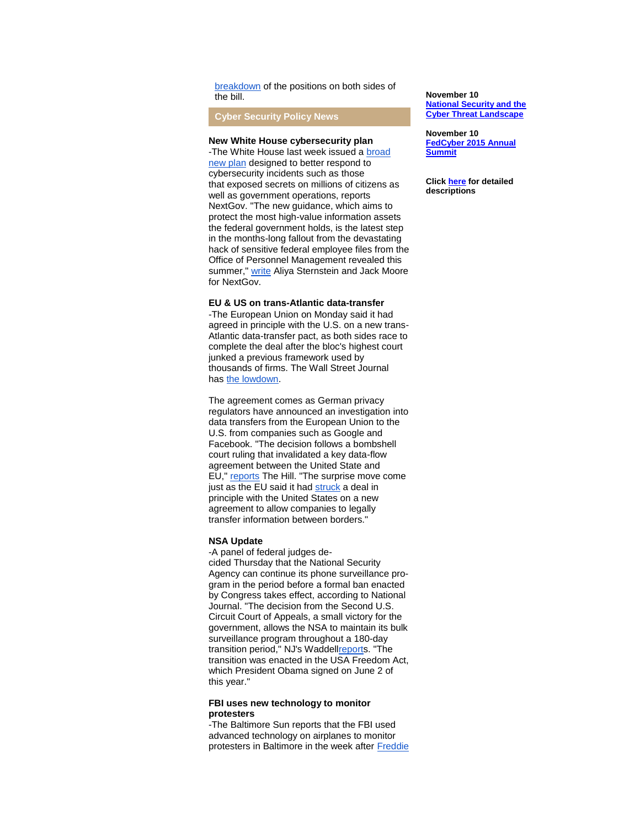breakdown of the positions on both sides of the bill.

**Cyber Security Policy News**

#### **New White House cybersecurity plan**

-The White House last week issued a [broad](http://r20.rs6.net/tn.jsp?f=001o0o9Bzw0LvQQ1hOh1mfmXBZmW0V8vCcO8xLZoOnaGkaoceXNvB0bj3COp8fErbPd6x7-u7dq0eeX8uhVZgw3dDnTQSFk1rHCBfPN0rFruXluq2_yftc2LZiII1m20pgiGAoblDG_eSZMJJEt3i6fVOAEeBaSoqwc9BmGqBaHRJijqQXtyJT86704BDgcLXYQRtpcMDSoLKMEA8ybrlZ-RL6U_lPOkjUvGre1itDX3sfQBBwIAyf4GlThYCh_LZhJ&c=pmMSPoatyUlavaKKj66sglKi5OTP1S6DQQxZ9XfgNiInIDFMbnV0Kw==&ch=JOQ8x2IemeotyCUnpkdJTrkSwU5pv7BLfkS4N-a0VT-d3AF-fn_oQg==)  [new plan](http://r20.rs6.net/tn.jsp?f=001o0o9Bzw0LvQQ1hOh1mfmXBZmW0V8vCcO8xLZoOnaGkaoceXNvB0bj3COp8fErbPd6x7-u7dq0eeX8uhVZgw3dDnTQSFk1rHCBfPN0rFruXluq2_yftc2LZiII1m20pgiGAoblDG_eSZMJJEt3i6fVOAEeBaSoqwc9BmGqBaHRJijqQXtyJT86704BDgcLXYQRtpcMDSoLKMEA8ybrlZ-RL6U_lPOkjUvGre1itDX3sfQBBwIAyf4GlThYCh_LZhJ&c=pmMSPoatyUlavaKKj66sglKi5OTP1S6DQQxZ9XfgNiInIDFMbnV0Kw==&ch=JOQ8x2IemeotyCUnpkdJTrkSwU5pv7BLfkS4N-a0VT-d3AF-fn_oQg==) designed to better respond to cybersecurity incidents such as those that exposed secrets on millions of citizens as well as government operations, reports NextGov. "The new guidance, which aims to protect the most high-value information assets the federal government holds, is the latest step in the months-long fallout from the devastating hack of sensitive federal employee files from the Office of Personnel Management revealed this summer," [write](http://r20.rs6.net/tn.jsp?f=001o0o9Bzw0LvQQ1hOh1mfmXBZmW0V8vCcO8xLZoOnaGkaoceXNvB0bj3COp8fErbPdwSgR7fKX2Ij7EC6mJv5zLTPlDSn9mdlZIGhagx0O9pZ2R6Mhui6mYD7haWEpx5oOxTvTYabg0rSLPR-EQ1vTR_yxSEleoEA-m26I47hkKyzFeb2EeDGVfBZFJe4hi_4Ne7tFGIyXgOWEhwxt9nQVRp7UXpggSt2S29Vr9S__kxvXmHH8fXGV6cnCw4Svdh23YuqrwHJIG5fE5rVk283cVk-b1CMR1Ov3Fuy8HszXRUWx3v_Tekl7qZIkdkb617XRwqlAp4qyrPjk4BjuNiHyQImQ1Hy06YlLT7Zn0n2q56MsxkSumo3_1_STSqmpC2KxT0zYNRzdj2FbMmxaGvGwaicztNrqB58adRM9NBrstcgjYlPqRNV-ISovD3MO32d6V8-Sf6Uczf-sFhdCVZFA-p_lnxGs4gu4fG98M83bHS2_VDX70D63lQ==&c=pmMSPoatyUlavaKKj66sglKi5OTP1S6DQQxZ9XfgNiInIDFMbnV0Kw==&ch=JOQ8x2IemeotyCUnpkdJTrkSwU5pv7BLfkS4N-a0VT-d3AF-fn_oQg==) Aliya Sternstein and Jack Moore for NextGov.

#### **EU & US on trans-Atlantic data-transfer**

-The European Union on Monday said it had agreed in principle with the U.S. on a new trans-Atlantic data-transfer pact, as both sides race to complete the deal after the bloc's highest court junked a previous framework used by thousands of firms. The Wall Street Journal has [the lowdown.](http://r20.rs6.net/tn.jsp?f=001o0o9Bzw0LvQQ1hOh1mfmXBZmW0V8vCcO8xLZoOnaGkaoceXNvB0bj3COp8fErbPdlSwWPokMug2tYTGdQN0ml9t3FAdWM9essOsBE9yz7hn905tKhIC4PYRbEwoVP_OZFbdom_fv7kp4WXrsLXDJM8vGEuyBT_GSDmh3QaM3ZOpDgXZsfOLXiTlOn4OHU7UeROiSj23bY1MVTS1Tw2DtOr8tfJ44zmkkQ-2A4nHzGXQqLde9xrib3Q==&c=pmMSPoatyUlavaKKj66sglKi5OTP1S6DQQxZ9XfgNiInIDFMbnV0Kw==&ch=JOQ8x2IemeotyCUnpkdJTrkSwU5pv7BLfkS4N-a0VT-d3AF-fn_oQg==)

The agreement comes as German privacy regulators have announced an investigation into data transfers from the European Union to the U.S. from companies such as Google and Facebook. "The decision follows a bombshell court ruling that invalidated a key data-flow agreement between the United State and EU," [reports](http://r20.rs6.net/tn.jsp?f=001o0o9Bzw0LvQQ1hOh1mfmXBZmW0V8vCcO8xLZoOnaGkaoceXNvB0bj3COp8fErbPd-Qv-hbpnCWK3j42db-fKQ39r4736epWmIpA2DNc9rSRT3YF3My7qzDKve2A7_f5TGmsyvIx9rEm-XORl8iFLCOkXO-d33r9J16Z0zY7QPOpDHeUfbDJ7G-0OWcibpouwGgz-sCW8CwsbsJO8jTmdYS8A7kVUskvubUTU2aA2wwufnFLIwnC6XOqs64kbxBRKhZZ6sdd0QkiFXdATC_gukbqQdnFExAYS&c=pmMSPoatyUlavaKKj66sglKi5OTP1S6DQQxZ9XfgNiInIDFMbnV0Kw==&ch=JOQ8x2IemeotyCUnpkdJTrkSwU5pv7BLfkS4N-a0VT-d3AF-fn_oQg==) The Hill. "The surprise move come just as the EU said it had [struck](http://r20.rs6.net/tn.jsp?f=001o0o9Bzw0LvQQ1hOh1mfmXBZmW0V8vCcO8xLZoOnaGkaoceXNvB0bj3COp8fErbPdxukj8FVbkZ0hJKfUI9h_2X9kD3Nwyz4S1Mk6pGxi_eOFNFEiUXWgm5O1Ux8OOamjl8x-5fnHTgMVtufa7eOikz3XuIRexzVxNJn1W30QgvRKrA3IGrRBHjWTGR6xBqX--BcIH5dKbauqtcq0bDW55kcGzd55aTh1oFJeILL4ZHG9bKnMlvOmye1-TnE-3avdd50uDtR23Z8FJI5wZ8-Iwuoz_xN-1_4w&c=pmMSPoatyUlavaKKj66sglKi5OTP1S6DQQxZ9XfgNiInIDFMbnV0Kw==&ch=JOQ8x2IemeotyCUnpkdJTrkSwU5pv7BLfkS4N-a0VT-d3AF-fn_oQg==) a deal in principle with the United States on a new agreement to allow companies to legally transfer information between borders."

#### **NSA Update**

-A panel of federal judges decided Thursday that the National Security Agency can continue its phone surveillance program in the period before a formal ban enacted by Congress takes effect, according to National Journal. "The decision from the Second U.S. Circuit Court of Appeals, a small victory for the government, allows the NSA to maintain its bulk surveillance program throughout a 180-day transition period," NJ's Wadde[llreports](http://r20.rs6.net/tn.jsp?f=001o0o9Bzw0LvQQ1hOh1mfmXBZmW0V8vCcO8xLZoOnaGkaoceXNvB0bj3COp8fErbPdpkTdpdyCER9CGvdp8x3yTrYxKe21URi7VNe96t6kQk3iNcB6Tie9JQ38wCZ0LTVbExCbYOIFn0zkUSSAwayJHMmAIwYJa4VENe9beaxKmEDmEE8H80B1BtGQaLR_eWAIEAcc3t_1nJbaaiqLoHB941lp7OSZADHYtt1UITupKTZqw8Jb9A7Tvfi5eqEY4HmfIz_mXocfQUT65U_ddQEFVA==&c=pmMSPoatyUlavaKKj66sglKi5OTP1S6DQQxZ9XfgNiInIDFMbnV0Kw==&ch=JOQ8x2IemeotyCUnpkdJTrkSwU5pv7BLfkS4N-a0VT-d3AF-fn_oQg==). "The transition was enacted in the USA Freedom Act, which President Obama signed on June 2 of this year."

#### **FBI uses new technology to monitor protesters**

-The Baltimore Sun reports that the FBI used advanced technology on airplanes to monitor protesters in Baltimore in the week after Freddie

#### **November 10 [National Security and the](http://r20.rs6.net/tn.jsp?f=001o0o9Bzw0LvQQ1hOh1mfmXBZmW0V8vCcO8xLZoOnaGkaoceXNvB0bj1BixnuIBC93DlXyy9AHTMpoWdJm7Cu0-fSUUrrXsJqdmhVFjYWVjaUCYxmT57-K_WlYzBdeaCqFZFHHbP8JNko8Oz_2HR57OnUScVUDpdBt9bLWef_T5bRh3GKJd6UWhM2jC_JspCfbKVETDWVS5vo=&c=pmMSPoatyUlavaKKj66sglKi5OTP1S6DQQxZ9XfgNiInIDFMbnV0Kw==&ch=JOQ8x2IemeotyCUnpkdJTrkSwU5pv7BLfkS4N-a0VT-d3AF-fn_oQg==)  [Cyber Threat Landscape](http://r20.rs6.net/tn.jsp?f=001o0o9Bzw0LvQQ1hOh1mfmXBZmW0V8vCcO8xLZoOnaGkaoceXNvB0bj1BixnuIBC93DlXyy9AHTMpoWdJm7Cu0-fSUUrrXsJqdmhVFjYWVjaUCYxmT57-K_WlYzBdeaCqFZFHHbP8JNko8Oz_2HR57OnUScVUDpdBt9bLWef_T5bRh3GKJd6UWhM2jC_JspCfbKVETDWVS5vo=&c=pmMSPoatyUlavaKKj66sglKi5OTP1S6DQQxZ9XfgNiInIDFMbnV0Kw==&ch=JOQ8x2IemeotyCUnpkdJTrkSwU5pv7BLfkS4N-a0VT-d3AF-fn_oQg==)**

**November 10 [FedCyber 2015 Annual](http://r20.rs6.net/tn.jsp?f=001o0o9Bzw0LvQQ1hOh1mfmXBZmW0V8vCcO8xLZoOnaGkaoceXNvB0bj1BixnuIBC93DlXyy9AHTMpoWdJm7Cu0-fSUUrrXsJqdmhVFjYWVjaUCYxmT57-K_WlYzBdeaCqFZFHHbP8JNko8Oz_2HR57OnUScVUDpdBt9bLWef_T5bRh3GKJd6UWhM2jC_JspCfbKVETDWVS5vo=&c=pmMSPoatyUlavaKKj66sglKi5OTP1S6DQQxZ9XfgNiInIDFMbnV0Kw==&ch=JOQ8x2IemeotyCUnpkdJTrkSwU5pv7BLfkS4N-a0VT-d3AF-fn_oQg==)  [Summit](http://r20.rs6.net/tn.jsp?f=001o0o9Bzw0LvQQ1hOh1mfmXBZmW0V8vCcO8xLZoOnaGkaoceXNvB0bj1BixnuIBC93DlXyy9AHTMpoWdJm7Cu0-fSUUrrXsJqdmhVFjYWVjaUCYxmT57-K_WlYzBdeaCqFZFHHbP8JNko8Oz_2HR57OnUScVUDpdBt9bLWef_T5bRh3GKJd6UWhM2jC_JspCfbKVETDWVS5vo=&c=pmMSPoatyUlavaKKj66sglKi5OTP1S6DQQxZ9XfgNiInIDFMbnV0Kw==&ch=JOQ8x2IemeotyCUnpkdJTrkSwU5pv7BLfkS4N-a0VT-d3AF-fn_oQg==)**

**Click [here](http://r20.rs6.net/tn.jsp?f=001o0o9Bzw0LvQQ1hOh1mfmXBZmW0V8vCcO8xLZoOnaGkaoceXNvB0bj0EstbrMpIKM8F2CDv0hkAEXZBxXEMPx8lt_ZkaaLLH2reYYSGBp5GccOQ3XV6oW2WVTtgbVChyQB1We-Apg6av-k8zaMMMFqQ3I47MHP1izCb_0u3DV8-kPhUucyPQ3lRWEgzM6verRX6bhDA2n-3OGrGkYwqrMZg==&c=pmMSPoatyUlavaKKj66sglKi5OTP1S6DQQxZ9XfgNiInIDFMbnV0Kw==&ch=JOQ8x2IemeotyCUnpkdJTrkSwU5pv7BLfkS4N-a0VT-d3AF-fn_oQg==) for detailed descriptions**